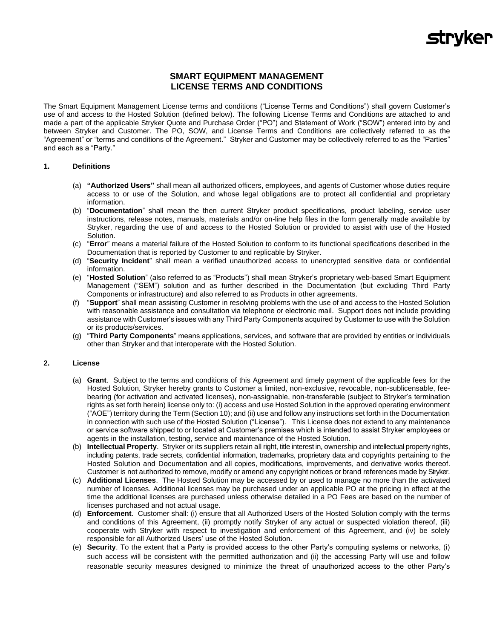### **SMART EQUIPMENT MANAGEMENT LICENSE TERMS AND CONDITIONS**

The Smart Equipment Management License terms and conditions ("License Terms and Conditions") shall govern Customer's use of and access to the Hosted Solution (defined below). The following License Terms and Conditions are attached to and made a part of the applicable Stryker Quote and Purchase Order ("PO") and Statement of Work ("SOW") entered into by and between Stryker and Customer. The PO, SOW, and License Terms and Conditions are collectively referred to as the "Agreement" or "terms and conditions of the Agreement." Stryker and Customer may be collectively referred to as the "Parties" and each as a "Party."

#### **1. Definitions**

- (a) **"Authorized Users"** shall mean all authorized officers, employees, and agents of Customer whose duties require access to or use of the Solution, and whose legal obligations are to protect all confidential and proprietary information.
- (b) "**Documentation**" shall mean the then current Stryker product specifications, product labeling, service user instructions, release notes, manuals, materials and/or on-line help files in the form generally made available by Stryker, regarding the use of and access to the Hosted Solution or provided to assist with use of the Hosted Solution.
- (c) "**Error**" means a material failure of the Hosted Solution to conform to its functional specifications described in the Documentation that is reported by Customer to and replicable by Stryker.
- (d) "**Security Incident**" shall mean a verified unauthorized access to unencrypted sensitive data or confidential information.
- (e) "**Hosted Solution**" (also referred to as "Products") shall mean Stryker's proprietary web-based Smart Equipment Management ("SEM") solution and as further described in the Documentation (but excluding Third Party Components or infrastructure) and also referred to as Products in other agreements.
- (f) "**Support**" shall mean assisting Customer in resolving problems with the use of and access to the Hosted Solution with reasonable assistance and consultation via telephone or electronic mail. Support does not include providing assistance with Customer's issues with any Third Party Components acquired by Customer to use with the Solution or its products/services.
- (g) "**Third Party Components**" means applications, services, and software that are provided by entities or individuals other than Stryker and that interoperate with the Hosted Solution.

#### **2. License**

- (a) **Grant**. Subject to the terms and conditions of this Agreement and timely payment of the applicable fees for the Hosted Solution, Stryker hereby grants to Customer a limited, non-exclusive, revocable, non-sublicensable, feebearing (for activation and activated licenses), non-assignable, non-transferable (subject to Stryker's termination rights as set forth herein) license only to: (i) access and use Hosted Solution in the approved operating environment ("AOE") territory during the Term (Section 10); and (ii) use and follow any instructions set forth in the Documentation in connection with such use of the Hosted Solution ("License"). This License does not extend to any maintenance or service software shipped to or located at Customer's premises which is intended to assist Stryker employees or agents in the installation, testing, service and maintenance of the Hosted Solution.
- (b) **Intellectual Property**. Stryker or its suppliers retain all right, title interest in, ownership and intellectual property rights, including patents, trade secrets, confidential information, trademarks, proprietary data and copyrights pertaining to the Hosted Solution and Documentation and all copies, modifications, improvements, and derivative works thereof. Customer is not authorized to remove, modify or amend any copyright notices or brand references made by Stryker.
- (c) **Additional Licenses**. The Hosted Solution may be accessed by or used to manage no more than the activated number of licenses. Additional licenses may be purchased under an applicable PO at the pricing in effect at the time the additional licenses are purchased unless otherwise detailed in a PO Fees are based on the number of licenses purchased and not actual usage.
- (d) **Enforcement**. Customer shall: (i) ensure that all Authorized Users of the Hosted Solution comply with the terms and conditions of this Agreement, (ii) promptly notify Stryker of any actual or suspected violation thereof, (iii) cooperate with Stryker with respect to investigation and enforcement of this Agreement, and (iv) be solely responsible for all Authorized Users' use of the Hosted Solution.
- (e) **Security**. To the extent that a Party is provided access to the other Party's computing systems or networks, (i) such access will be consistent with the permitted authorization and (ii) the accessing Party will use and follow reasonable security measures designed to minimize the threat of unauthorized access to the other Party's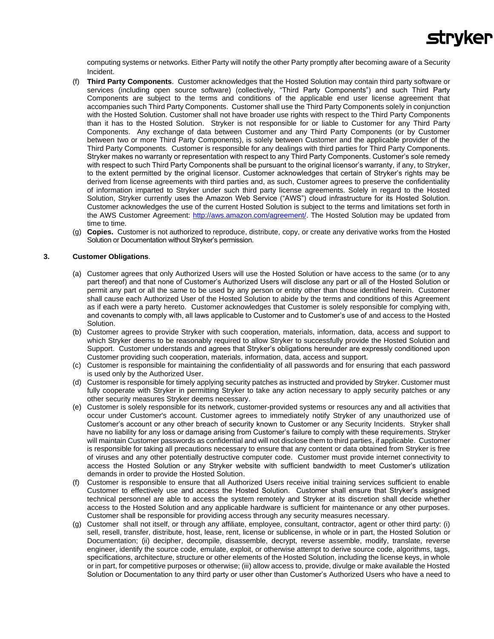

computing systems or networks. Either Party will notify the other Party promptly after becoming aware of a Security Incident.

- (f) **Third Party Components**. Customer acknowledges that the Hosted Solution may contain third party software or services (including open source software) (collectively, "Third Party Components") and such Third Party Components are subject to the terms and conditions of the applicable end user license agreement that accompanies such Third Party Components. Customer shall use the Third Party Components solely in conjunction with the Hosted Solution. Customer shall not have broader use rights with respect to the Third Party Components than it has to the Hosted Solution. Stryker is not responsible for or liable to Customer for any Third Party Components. Any exchange of data between Customer and any Third Party Components (or by Customer between two or more Third Party Components), is solely between Customer and the applicable provider of the Third Party Components. Customer is responsible for any dealings with third parties for Third Party Components. Stryker makes no warranty or representation with respect to any Third Party Components. Customer's sole remedy with respect to such Third Party Components shall be pursuant to the original licensor's warranty, if any, to Stryker, to the extent permitted by the original licensor. Customer acknowledges that certain of Stryker's rights may be derived from license agreements with third parties and, as such, Customer agrees to preserve the confidentiality of information imparted to Stryker under such third party license agreements. Solely in regard to the Hosted Solution, Stryker currently uses the Amazon Web Service ("AWS") cloud infrastructure for its Hosted Solution. Customer acknowledges the use of the current Hosted Solution is subject to the terms and limitations set forth in the AWS Customer Agreement: [http://aws.amazon.com/agreement/.](http://aws.amazon.com/agreement/) The Hosted Solution may be updated from time to time.
- (g) **Copies.** Customer is not authorized to reproduce, distribute, copy, or create any derivative works from the Hosted Solution or Documentation without Stryker's permission.

#### **3. Customer Obligations**.

- (a) Customer agrees that only Authorized Users will use the Hosted Solution or have access to the same (or to any part thereof) and that none of Customer's Authorized Users will disclose any part or all of the Hosted Solution or permit any part or all the same to be used by any person or entity other than those identified herein. Customer shall cause each Authorized User of the Hosted Solution to abide by the terms and conditions of this Agreement as if each were a party hereto. Customer acknowledges that Customer is solely responsible for complying with, and covenants to comply with, all laws applicable to Customer and to Customer's use of and access to the Hosted Solution.
- (b) Customer agrees to provide Stryker with such cooperation, materials, information, data, access and support to which Stryker deems to be reasonably required to allow Stryker to successfully provide the Hosted Solution and Support. Customer understands and agrees that Stryker's obligations hereunder are expressly conditioned upon Customer providing such cooperation, materials, information, data, access and support.
- (c) Customer is responsible for maintaining the confidentiality of all passwords and for ensuring that each password is used only by the Authorized User.
- (d) Customer is responsible for timely applying security patches as instructed and provided by Stryker. Customer must fully cooperate with Stryker in permitting Stryker to take any action necessary to apply security patches or any other security measures Stryker deems necessary.
- (e) Customer is solely responsible for its network, customer-provided systems or resources any and all activities that occur under Customer's account. Customer agrees to immediately notify Stryker of any unauthorized use of Customer's account or any other breach of security known to Customer or any Security Incidents. Stryker shall have no liability for any loss or damage arising from Customer's failure to comply with these requirements. Stryker will maintain Customer passwords as confidential and will not disclose them to third parties, if applicable. Customer is responsible for taking all precautions necessary to ensure that any content or data obtained from Stryker is free of viruses and any other potentially destructive computer code. Customer must provide internet connectivity to access the Hosted Solution or any Stryker website with sufficient bandwidth to meet Customer's utilization demands in order to provide the Hosted Solution.
- (f) Customer is responsible to ensure that all Authorized Users receive initial training services sufficient to enable Customer to effectively use and access the Hosted Solution. Customer shall ensure that Stryker's assigned technical personnel are able to access the system remotely and Stryker at its discretion shall decide whether access to the Hosted Solution and any applicable hardware is sufficient for maintenance or any other purposes. Customer shall be responsible for providing access through any security measures necessary.
- (g) Customer shall not itself, or through any affiliate, employee, consultant, contractor, agent or other third party: (i) sell, resell, transfer, distribute, host, lease, rent, license or sublicense, in whole or in part, the Hosted Solution or Documentation; (ii) decipher, decompile, disassemble, decrypt, reverse assemble, modify, translate, reverse engineer, identify the source code, emulate, exploit, or otherwise attempt to derive source code, algorithms, tags, specifications, architecture, structure or other elements of the Hosted Solution, including the license keys, in whole or in part, for competitive purposes or otherwise; (iii) allow access to, provide, divulge or make available the Hosted Solution or Documentation to any third party or user other than Customer's Authorized Users who have a need to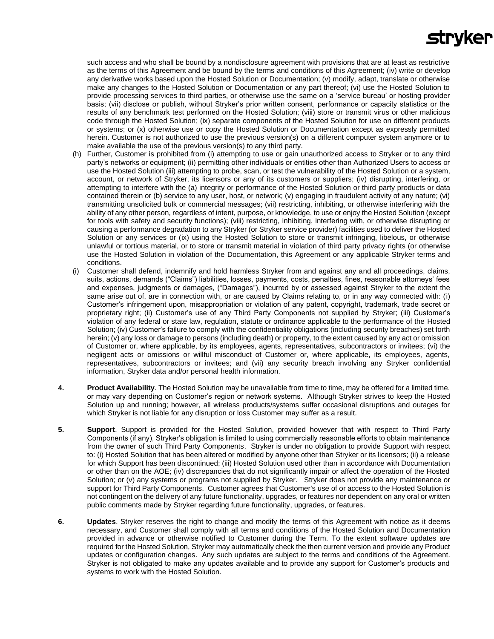# **Stryker**

such access and who shall be bound by a nondisclosure agreement with provisions that are at least as restrictive as the terms of this Agreement and be bound by the terms and conditions of this Agreement; (iv) write or develop any derivative works based upon the Hosted Solution or Documentation; (v) modify, adapt, translate or otherwise make any changes to the Hosted Solution or Documentation or any part thereof; (vi) use the Hosted Solution to provide processing services to third parties, or otherwise use the same on a 'service bureau' or hosting provider basis; (vii) disclose or publish, without Stryker's prior written consent, performance or capacity statistics or the results of any benchmark test performed on the Hosted Solution; (viii) store or transmit virus or other malicious code through the Hosted Solution; (ix) separate components of the Hosted Solution for use on different products or systems; or (x) otherwise use or copy the Hosted Solution or Documentation except as expressly permitted herein. Customer is not authorized to use the previous version(s) on a different computer system anymore or to make available the use of the previous version(s) to any third party.

- (h) Further, Customer is prohibited from (i) attempting to use or gain unauthorized access to Stryker or to any third party's networks or equipment; (ii) permitting other individuals or entities other than Authorized Users to access or use the Hosted Solution (iii) attempting to probe, scan, or test the vulnerability of the Hosted Solution or a system, account, or network of Stryker, its licensors or any of its customers or suppliers; (iv) disrupting, interfering, or attempting to interfere with the (a) integrity or performance of the Hosted Solution or third party products or data contained therein or (b) service to any user, host, or network; (v) engaging in fraudulent activity of any nature; (vi) transmitting unsolicited bulk or commercial messages; (vii) restricting, inhibiting, or otherwise interfering with the ability of any other person, regardless of intent, purpose, or knowledge, to use or enjoy the Hosted Solution (except for tools with safety and security functions); (viii) restricting, inhibiting, interfering with, or otherwise disrupting or causing a performance degradation to any Stryker (or Stryker service provider) facilities used to deliver the Hosted Solution or any services or (ix) using the Hosted Solution to store or transmit infringing, libelous, or otherwise unlawful or tortious material, or to store or transmit material in violation of third party privacy rights (or otherwise use the Hosted Solution in violation of the Documentation, this Agreement or any applicable Stryker terms and conditions.
- (i) Customer shall defend, indemnify and hold harmless Stryker from and against any and all proceedings, claims, suits, actions, demands ("Claims") liabilities, losses, payments, costs, penalties, fines, reasonable attorneys' fees and expenses, judgments or damages, ("Damages"), incurred by or assessed against Stryker to the extent the same arise out of, are in connection with, or are caused by Claims relating to, or in any way connected with: (i) Customer's infringement upon, misappropriation or violation of any patent, copyright, trademark, trade secret or proprietary right; (ii) Customer's use of any Third Party Components not supplied by Stryker; (iii) Customer's violation of any federal or state law, regulation, statute or ordinance applicable to the performance of the Hosted Solution; (iv) Customer's failure to comply with the confidentiality obligations (including security breaches) set forth herein; (v) any loss or damage to persons (including death) or property, to the extent caused by any act or omission of Customer or, where applicable, by its employees, agents, representatives, subcontractors or invitees; (vi) the negligent acts or omissions or willful misconduct of Customer or, where applicable, its employees, agents, representatives, subcontractors or invitees; and (vii) any security breach involving any Stryker confidential information, Stryker data and/or personal health information.
- **4. Product Availability**. The Hosted Solution may be unavailable from time to time, may be offered for a limited time, or may vary depending on Customer's region or network systems. Although Stryker strives to keep the Hosted Solution up and running; however, all wireless products/systems suffer occasional disruptions and outages for which Stryker is not liable for any disruption or loss Customer may suffer as a result.
- **5. Support**. Support is provided for the Hosted Solution, provided however that with respect to Third Party Components (if any), Stryker's obligation is limited to using commercially reasonable efforts to obtain maintenance from the owner of such Third Party Components. Stryker is under no obligation to provide Support with respect to: (i) Hosted Solution that has been altered or modified by anyone other than Stryker or its licensors; (ii) a release for which Support has been discontinued; (iii) Hosted Solution used other than in accordance with Documentation or other than on the AOE; (iv) discrepancies that do not significantly impair or affect the operation of the Hosted Solution; or (v) any systems or programs not supplied by Stryker. Stryker does not provide any maintenance or support for Third Party Components. Customer agrees that Customer's use of or access to the Hosted Solution is not contingent on the delivery of any future functionality, upgrades, or features nor dependent on any oral or written public comments made by Stryker regarding future functionality, upgrades, or features.
- **6. Updates**. Stryker reserves the right to change and modify the terms of this Agreement with notice as it deems necessary, and Customer shall comply with all terms and conditions of the Hosted Solution and Documentation provided in advance or otherwise notified to Customer during the Term. To the extent software updates are required for the Hosted Solution, Stryker may automatically check the then current version and provide any Product updates or configuration changes. Any such updates are subject to the terms and conditions of the Agreement. Stryker is not obligated to make any updates available and to provide any support for Customer's products and systems to work with the Hosted Solution.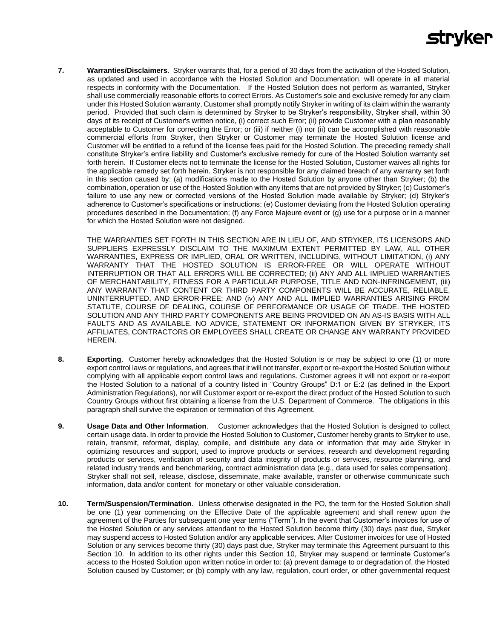## **stryker**

**7. Warranties/Disclaimers**.Stryker warrants that, for a period of 30 days from the activation of the Hosted Solution, as updated and used in accordance with the Hosted Solution and Documentation, will operate in all material respects in conformity with the Documentation. If the Hosted Solution does not perform as warranted, Stryker shall use commercially reasonable efforts to correct Errors. As Customer's sole and exclusive remedy for any claim under this Hosted Solution warranty, Customer shall promptly notify Stryker in writing of its claim within the warranty period. Provided that such claim is determined by Stryker to be Stryker's responsibility, Stryker shall, within 30 days of its receipt of Customer's written notice, (i) correct such Error; (ii) provide Customer with a plan reasonably acceptable to Customer for correcting the Error; or (iii) if neither (i) nor (ii) can be accomplished with reasonable commercial efforts from Stryker, then Stryker or Customer may terminate the Hosted Solution license and Customer will be entitled to a refund of the license fees paid for the Hosted Solution. The preceding remedy shall constitute Stryker's entire liability and Customer's exclusive remedy for cure of the Hosted Solution warranty set forth herein. If Customer elects not to terminate the license for the Hosted Solution, Customer waives all rights for the applicable remedy set forth herein. Stryker is not responsible for any claimed breach of any warranty set forth in this section caused by: (a) modifications made to the Hosted Solution by anyone other than Stryker; (b) the combination, operation or use of the Hosted Solution with any items that are not provided by Stryker; (c) Customer's failure to use any new or corrected versions of the Hosted Solution made available by Stryker; (d) Stryker's adherence to Customer's specifications or instructions; (e) Customer deviating from the Hosted Solution operating procedures described in the Documentation; (f) any Force Majeure event or (g) use for a purpose or in a manner for which the Hosted Solution were not designed.

THE WARRANTIES SET FORTH IN THIS SECTION ARE IN LIEU OF, AND STRYKER, ITS LICENSORS AND SUPPLIERS EXPRESSLY DISCLAIM TO THE MAXIMUM EXTENT PERMITTED BY LAW, ALL OTHER WARRANTIES, EXPRESS OR IMPLIED, ORAL OR WRITTEN, INCLUDING, WITHOUT LIMITATION, (i) ANY WARRANTY THAT THE HOSTED SOLUTION IS ERROR-FREE OR WILL OPERATE WITHOUT INTERRUPTION OR THAT ALL ERRORS WILL BE CORRECTED; (ii) ANY AND ALL IMPLIED WARRANTIES OF MERCHANTABILITY, FITNESS FOR A PARTICULAR PURPOSE, TITLE AND NON-INFRINGEMENT, (iii) ANY WARRANTY THAT CONTENT OR THIRD PARTY COMPONENTS WILL BE ACCURATE, RELIABLE, UNINTERRUPTED, AND ERROR-FREE; AND (iv) ANY AND ALL IMPLIED WARRANTIES ARISING FROM STATUTE, COURSE OF DEALING, COURSE OF PERFORMANCE OR USAGE OF TRADE. THE HOSTED SOLUTION AND ANY THIRD PARTY COMPONENTS ARE BEING PROVIDED ON AN AS-IS BASIS WITH ALL FAULTS AND AS AVAILABLE. NO ADVICE, STATEMENT OR INFORMATION GIVEN BY STRYKER, ITS AFFILIATES, CONTRACTORS OR EMPLOYEES SHALL CREATE OR CHANGE ANY WARRANTY PROVIDED HEREIN.

- **8. Exporting**. Customer hereby acknowledges that the Hosted Solution is or may be subject to one (1) or more export control laws or regulations, and agrees that it will not transfer, export or re-export the Hosted Solution without complying with all applicable export control laws and regulations. Customer agrees it will not export or re-export the Hosted Solution to a national of a country listed in "Country Groups" D:1 or E:2 (as defined in the Export Administration Regulations), nor will Customer export or re-export the direct product of the Hosted Solution to such Country Groups without first obtaining a license from the U.S. Department of Commerce. The obligations in this paragraph shall survive the expiration or termination of this Agreement.
- **9. Usage Data and Other Information**. Customer acknowledges that the Hosted Solution is designed to collect certain usage data. In order to provide the Hosted Solution to Customer, Customer hereby grants to Stryker to use, retain, transmit, reformat, display, compile, and distribute any data or information that may aide Stryker in optimizing resources and support, used to improve products or services, research and development regarding products or services, verification of security and data integrity of products or services, resource planning, and related industry trends and benchmarking, contract administration data (e.g., data used for sales compensation). Stryker shall not sell, release, disclose, disseminate, make available, transfer or otherwise communicate such information, data and/or content for monetary or other valuable consideration.
- **10. Term/Suspension/Termination**. Unless otherwise designated in the PO, the term for the Hosted Solution shall be one (1) year commencing on the Effective Date of the applicable agreement and shall renew upon the agreement of the Parties for subsequent one year terms ("Term"). In the event that Customer's invoices for use of the Hosted Solution or any services attendant to the Hosted Solution become thirty (30) days past due, Stryker may suspend access to Hosted Solution and/or any applicable services. After Customer invoices for use of Hosted Solution or any services become thirty (30) days past due, Stryker may terminate this Agreement pursuant to this Section 10. In addition to its other rights under this Section 10, Stryker may suspend or terminate Customer's access to the Hosted Solution upon written notice in order to: (a) prevent damage to or degradation of, the Hosted Solution caused by Customer; or (b) comply with any law, regulation, court order, or other governmental request